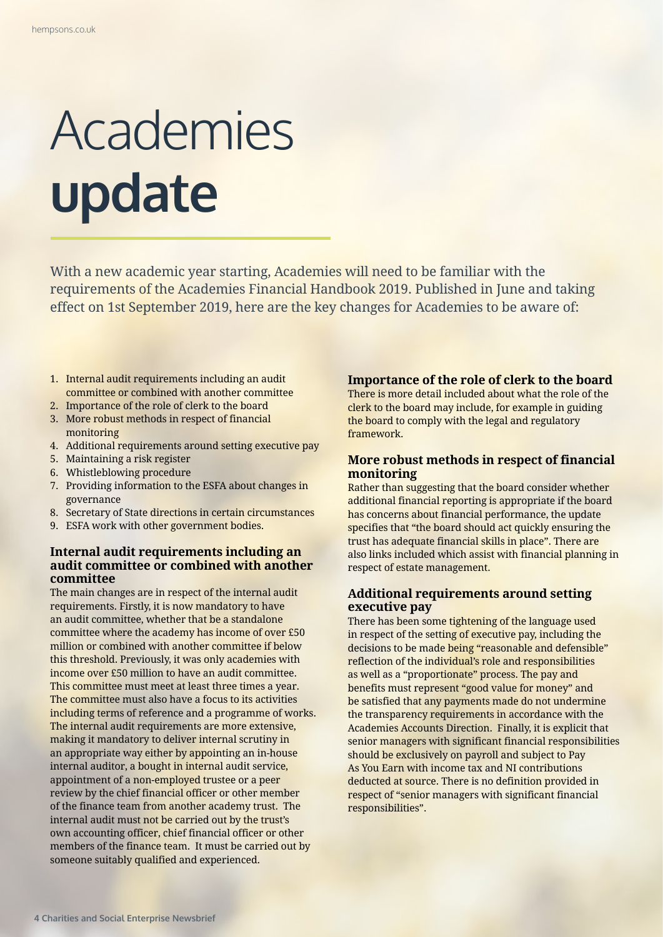# Academies **update**

With a new academic year starting, Academies will need to be familiar with the requirements of the Academies Financial Handbook 2019. Published in June and taking effect on 1st September 2019, here are the key changes for Academies to be aware of:

- 1. Internal audit requirements including an audit committee or combined with another committee
- 2. Importance of the role of clerk to the board
- 3. More robust methods in respect of financial monitoring
- 4. Additional requirements around setting executive pay
- 5. Maintaining a risk register
- 6. Whistleblowing procedure
- 7. Providing information to the ESFA about changes in governance
- 8. Secretary of State directions in certain circumstances
- 9. ESFA work with other government bodies.

# **Internal audit requirements including an audit committee or combined with another committee**

The main changes are in respect of the internal audit requirements. Firstly, it is now mandatory to have an audit committee, whether that be a standalone committee where the academy has income of over £50 million or combined with another committee if below this threshold. Previously, it was only academies with income over £50 million to have an audit committee. This committee must meet at least three times a year. The committee must also have a focus to its activities including terms of reference and a programme of works. The internal audit requirements are more extensive, making it mandatory to deliver internal scrutiny in an appropriate way either by appointing an in-house internal auditor, a bought in internal audit service, appointment of a non-employed trustee or a peer review by the chief financial officer or other member of the finance team from another academy trust. The internal audit must not be carried out by the trust's own accounting officer, chief financial officer or other members of the finance team. It must be carried out by someone suitably qualified and experienced.

# **Importance of the role of clerk to the board**

There is more detail included about what the role of the clerk to the board may include, for example in guiding the board to comply with the legal and regulatory framework.

# **More robust methods in respect of financial monitoring**

Rather than suggesting that the board consider whether additional financial reporting is appropriate if the board has concerns about financial performance, the update specifies that "the board should act quickly ensuring the trust has adequate financial skills in place". There are also links included which assist with financial planning in respect of estate management.

# **Additional requirements around setting executive pay**

There has been some tightening of the language used in respect of the setting of executive pay, including the decisions to be made being "reasonable and defensible" reflection of the individual's role and responsibilities as well as a "proportionate" process. The pay and benefits must represent "good value for money" and be satisfied that any payments made do not undermine the transparency requirements in accordance with the Academies Accounts Direction. Finally, it is explicit that senior managers with significant financial responsibilities should be exclusively on payroll and subject to Pay As You Earn with income tax and NI contributions deducted at source. There is no definition provided in respect of "senior managers with significant financial responsibilities".